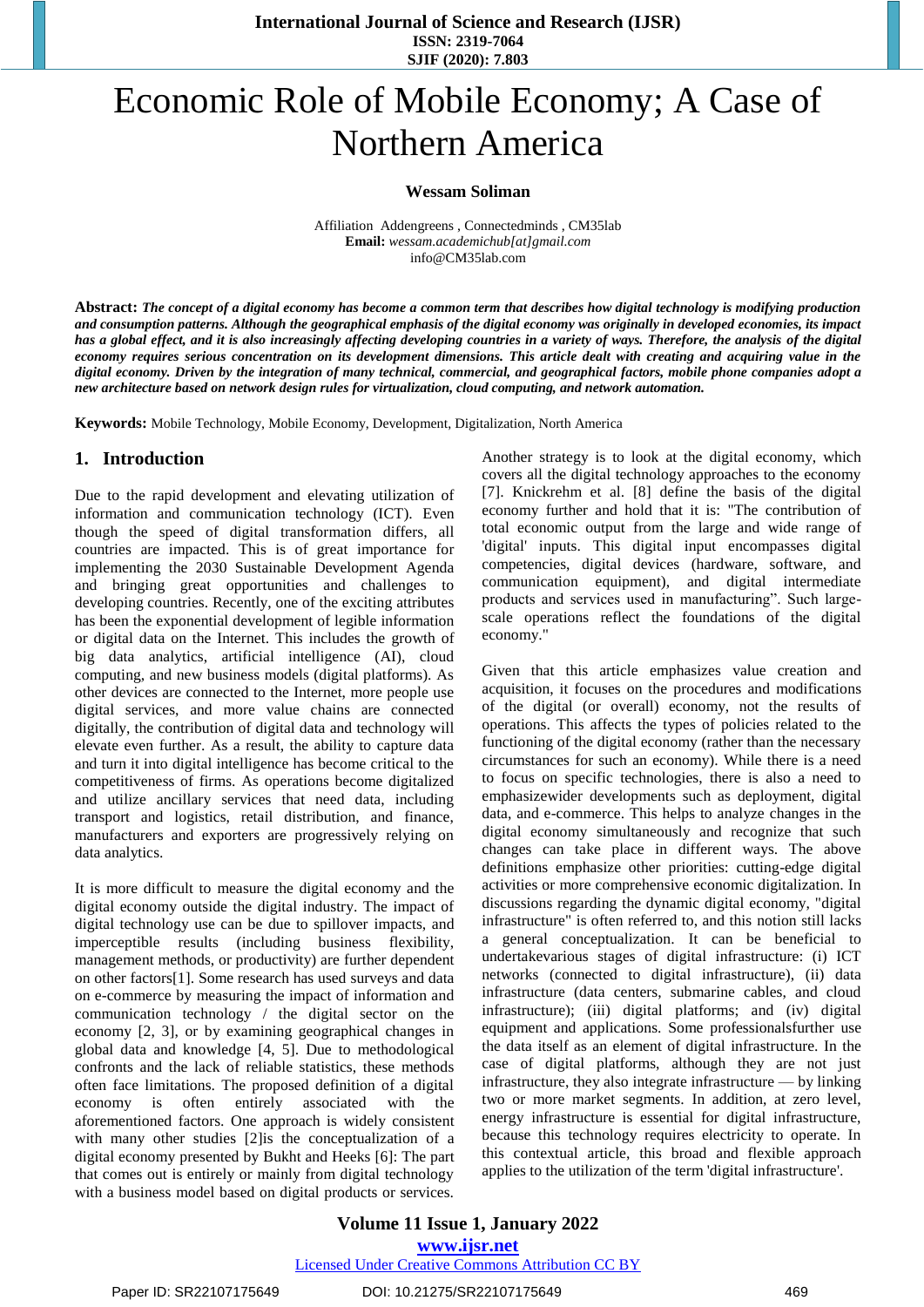**International Journal of Science and Research (IJSR) ISSN: 2319-7064 SJIF (2020): 7.803**

# Economic Role of Mobile Economy; A Case of Northern America

**Wessam Soliman**

Affiliation Addengreens , Connectedminds , CM35lab **Email:** *[wessam.academichub\[at\]gmail.com](mailto:Wessam.academichub@gmail.com)* [info@CM35lab.com](mailto:info@CM35lab.com)

**Abstract:** *The concept of a digital economy has become a common term that describes how digital technology is modifying production and consumption patterns. Although the geographical emphasis of the digital economy was originally in developed economies, its impact has a global effect, and it is also increasingly affecting developing countries in a variety of ways. Therefore, the analysis of the digital economy requires serious concentration on its development dimensions. This article dealt with creating and acquiring value in the digital economy. Driven by the integration of many technical, commercial, and geographical factors, mobile phone companies adopt a new architecture based on network design rules for virtualization, cloud computing, and network automation.*

**Keywords:** Mobile Technology, Mobile Economy, Development, Digitalization, North America

### **1. Introduction**

Due to the rapid development and elevating utilization of information and communication technology (ICT). Even though the speed of digital transformation differs, all countries are impacted. This is of great importance for implementing the 2030 Sustainable Development Agenda and bringing great opportunities and challenges to developing countries. Recently, one of the exciting attributes has been the exponential development of legible information or digital data on the Internet. This includes the growth of big data analytics, artificial intelligence (AI), cloud computing, and new business models (digital platforms). As other devices are connected to the Internet, more people use digital services, and more value chains are connected digitally, the contribution of digital data and technology will elevate even further. As a result, the ability to capture data and turn it into digital intelligence has become critical to the competitiveness of firms. As operations become digitalized and utilize ancillary services that need data, including transport and logistics, retail distribution, and finance, manufacturers and exporters are progressively relying on data analytics.

It is more difficult to measure the digital economy and the digital economy outside the digital industry. The impact of digital technology use can be due to spillover impacts, and imperceptible results (including business flexibility, management methods, or productivity) are further dependent on other factors[1]. Some research has used surveys and data on e-commerce by measuring the impact of information and communication technology / the digital sector on the economy [2, 3], or by examining geographical changes in global data and knowledge [4, 5]. Due to methodological confronts and the lack of reliable statistics, these methods often face limitations. The proposed definition of a digital economy is often entirely associated with the aforementioned factors. One approach is widely consistent with many other studies [2]is the conceptualization of a digital economy presented by Bukht and Heeks [6]: The part that comes out is entirely or mainly from digital technology with a business model based on digital products or services.

Another strategy is to look at the digital economy, which covers all the digital technology approaches to the economy [7]. Knickrehm et al. [8] define the basis of the digital economy further and hold that it is: "The contribution of total economic output from the large and wide range of 'digital' inputs. This digital input encompasses digital competencies, digital devices (hardware, software, and communication equipment), and digital intermediate products and services used in manufacturing". Such largescale operations reflect the foundations of the digital economy."

Given that this article emphasizes value creation and acquisition, it focuses on the procedures and modifications of the digital (or overall) economy, not the results of operations. This affects the types of policies related to the functioning of the digital economy (rather than the necessary circumstances for such an economy). While there is a need to focus on specific technologies, there is also a need to emphasizewider developments such as deployment, digital data, and e-commerce. This helps to analyze changes in the digital economy simultaneously and recognize that such changes can take place in different ways. The above definitions emphasize other priorities: cutting-edge digital activities or more comprehensive economic digitalization. In discussions regarding the dynamic digital economy, "digital infrastructure" is often referred to, and this notion still lacks a general conceptualization. It can be beneficial to undertakevarious stages of digital infrastructure: (i) ICT networks (connected to digital infrastructure), (ii) data infrastructure (data centers, submarine cables, and cloud infrastructure); (iii) digital platforms; and (iv) digital equipment and applications. Some professionalsfurther use the data itself as an element of digital infrastructure. In the case of digital platforms, although they are not just infrastructure, they also integrate infrastructure — by linking two or more market segments. In addition, at zero level, energy infrastructure is essential for digital infrastructure, because this technology requires electricity to operate. In this contextual article, this broad and flexible approach applies to the utilization of the term 'digital infrastructure'.

**Volume 11 Issue 1, January 2022 www.ijsr.net** Licensed Under Creative Commons Attribution CC BY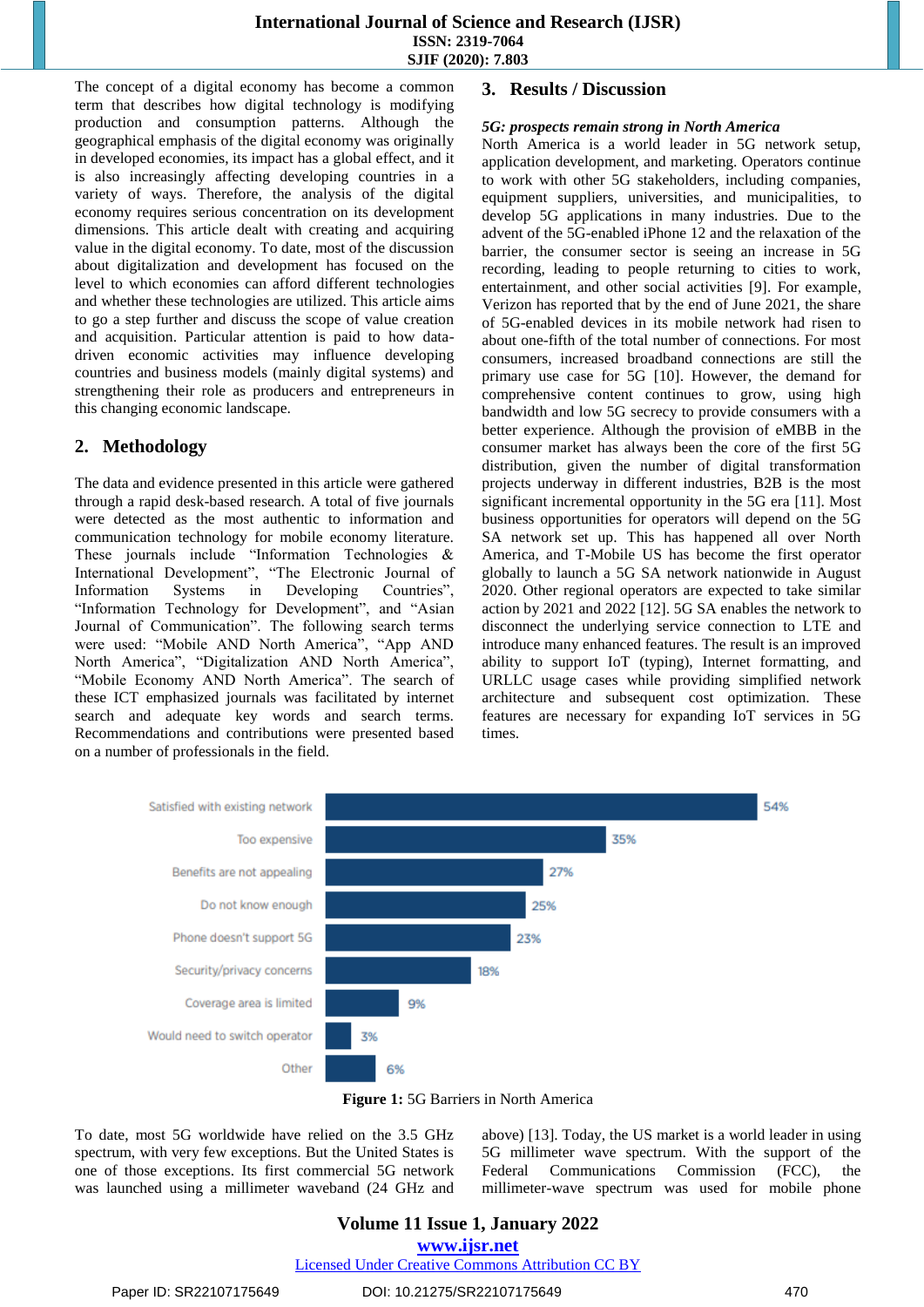The concept of a digital economy has become a common term that describes how digital technology is modifying production and consumption patterns. Although the geographical emphasis of the digital economy was originally in developed economies, its impact has a global effect, and it is also increasingly affecting developing countries in a variety of ways. Therefore, the analysis of the digital economy requires serious concentration on its development dimensions. This article dealt with creating and acquiring value in the digital economy. To date, most of the discussion about digitalization and development has focused on the level to which economies can afford different technologies and whether these technologies are utilized. This article aims to go a step further and discuss the scope of value creation and acquisition. Particular attention is paid to how datadriven economic activities may influence developing countries and business models (mainly digital systems) and strengthening their role as producers and entrepreneurs in this changing economic landscape.

# **2. Methodology**

The data and evidence presented in this article were gathered through a rapid desk-based research. A total of five journals were detected as the most authentic to information and communication technology for mobile economy literature. These journals include "Information Technologies & International Development", "The Electronic Journal of Information Systems in Developing Countries", "Information Technology for Development", and "Asian Journal of Communication". The following search terms were used: "Mobile AND North America", "App AND North America", "Digitalization AND North America", "Mobile Economy AND North America". The search of these ICT emphasized journals was facilitated by internet search and adequate key words and search terms. Recommendations and contributions were presented based on a number of professionals in the field.

## **3. Results / Discussion**

### *5G: prospects remain strong in North America*

North America is a world leader in 5G network setup, application development, and marketing. Operators continue to work with other 5G stakeholders, including companies, equipment suppliers, universities, and municipalities, to develop 5G applications in many industries. Due to the advent of the 5G-enabled iPhone 12 and the relaxation of the barrier, the consumer sector is seeing an increase in 5G recording, leading to people returning to cities to work, entertainment, and other social activities [9]. For example, Verizon has reported that by the end of June 2021, the share of 5G-enabled devices in its mobile network had risen to about one-fifth of the total number of connections. For most consumers, increased broadband connections are still the primary use case for 5G [10]. However, the demand for comprehensive content continues to grow, using high bandwidth and low 5G secrecy to provide consumers with a better experience. Although the provision of eMBB in the consumer market has always been the core of the first 5G distribution, given the number of digital transformation projects underway in different industries, B2B is the most significant incremental opportunity in the 5G era [11]. Most business opportunities for operators will depend on the 5G SA network set up. This has happened all over North America, and T-Mobile US has become the first operator globally to launch a 5G SA network nationwide in August 2020. Other regional operators are expected to take similar action by 2021 and 2022 [12]. 5G SA enables the network to disconnect the underlying service connection to LTE and introduce many enhanced features. The result is an improved ability to support IoT (typing), Internet formatting, and URLLC usage cases while providing simplified network architecture and subsequent cost optimization. These features are necessary for expanding IoT services in 5G times.



**Figure 1:** 5G Barriers in North America

To date, most 5G worldwide have relied on the 3.5 GHz spectrum, with very few exceptions. But the United States is one of those exceptions. Its first commercial 5G network was launched using a millimeter waveband (24 GHz and above) [13]. Today, the US market is a world leader in using 5G millimeter wave spectrum. With the support of the Federal Communications Commission (FCC), the millimeter-wave spectrum was used for mobile phone

# **Volume 11 Issue 1, January 2022**

**www.ijsr.net**

Licensed Under Creative Commons Attribution CC BY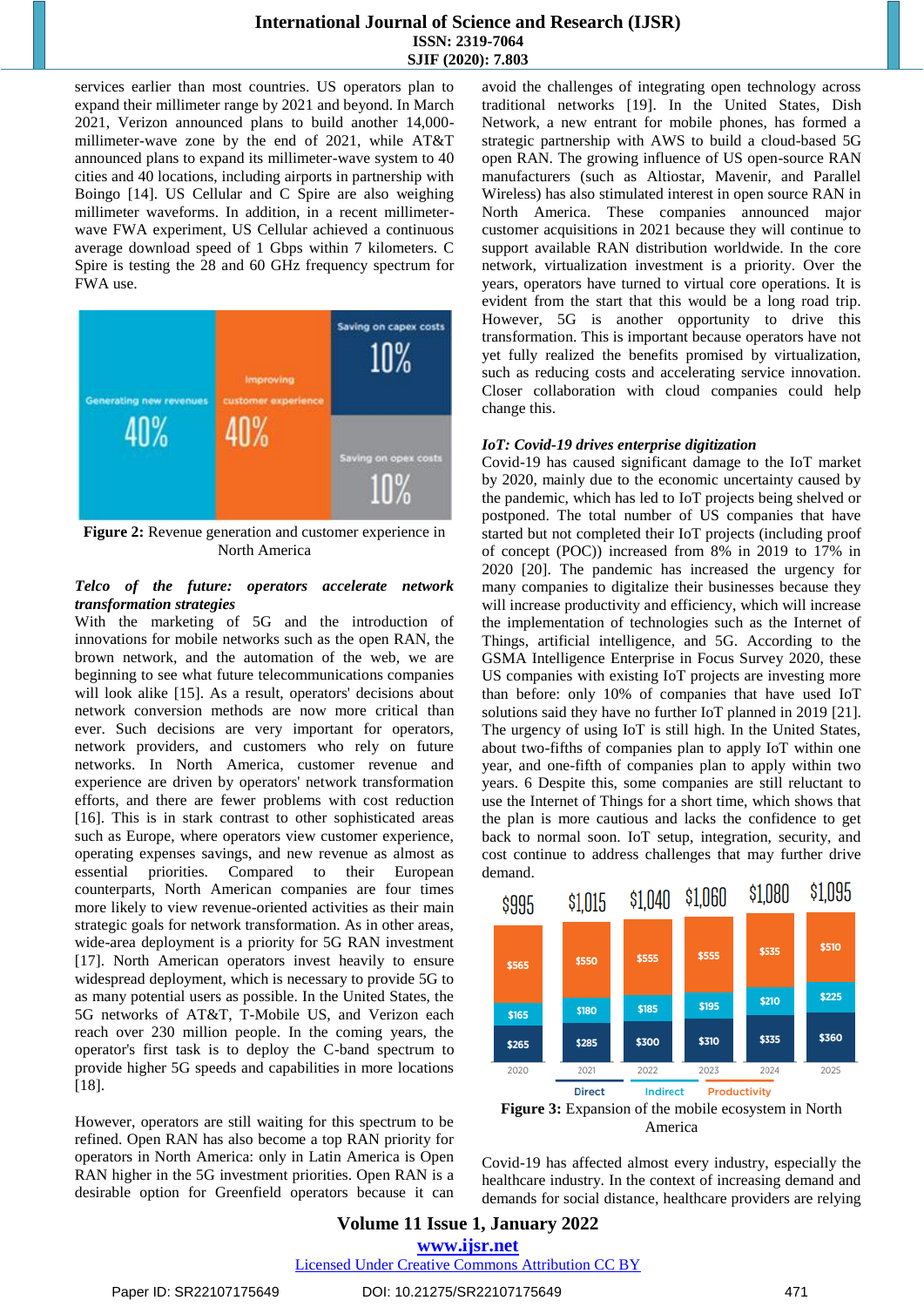## **International Journal of Science and Research (IJSR) ISSN: 2319-7064 SJIF (2020): 7.803**

services earlier than most countries. US operators plan to expand their millimeter range by 2021 and beyond. In March 2021, Verizon announced plans to build another 14,000 millimeter-wave zone by the end of 2021, while AT&T announced plans to expand its millimeter-wave system to 40 cities and 40 locations, including airports in partnership with Boingo [14]. US Cellular and C Spire are also weighing millimeter waveforms. In addition, in a recent millimeterwave FWA experiment, US Cellular achieved a continuous average download speed of 1 Gbps within 7 kilometers. C Spire is testing the 28 and 60 GHz frequency spectrum for FWA use.



**Figure 2:** Revenue generation and customer experience in North America

#### *Telco of the future: operators accelerate network transformation strategies*

With the marketing of 5G and the introduction of innovations for mobile networks such as the open RAN, the brown network, and the automation of the web, we are beginning to see what future telecommunications companies will look alike [15]. As a result, operators' decisions about network conversion methods are now more critical than ever. Such decisions are very important for operators, network providers, and customers who rely on future networks. In North America, customer revenue and experience are driven by operators' network transformation efforts, and there are fewer problems with cost reduction [16]. This is in stark contrast to other sophisticated areas such as Europe, where operators view customer experience, operating expenses savings, and new revenue as almost as essential priorities. Compared to their European counterparts, North American companies are four times more likely to view revenue-oriented activities as their main strategic goals for network transformation. As in other areas, wide-area deployment is a priority for 5G RAN investment [17]. North American operators invest heavily to ensure widespread deployment, which is necessary to provide 5G to as many potential users as possible. In the United States, the 5G networks of AT&T, T-Mobile US, and Verizon each reach over 230 million people. In the coming years, the operator's first task is to deploy the C-band spectrum to provide higher 5G speeds and capabilities in more locations [18].

However, operators are still waiting for this spectrum to be refined. Open RAN has also become a top RAN priority for operators in North America: only in Latin America is Open RAN higher in the 5G investment priorities. Open RAN is a desirable option for Greenfield operators because it can avoid the challenges of integrating open technology across traditional networks [19]. In the United States, Dish Network, a new entrant for mobile phones, has formed a strategic partnership with AWS to build a cloud-based 5G open RAN. The growing influence of US open-source RAN manufacturers (such as Altiostar, Mavenir, and Parallel Wireless) has also stimulated interest in open source RAN in North America. These companies announced major customer acquisitions in 2021 because they will continue to support available RAN distribution worldwide. In the core network, virtualization investment is a priority. Over the years, operators have turned to virtual core operations. It is evident from the start that this would be a long road trip. However, 5G is another opportunity to drive this transformation. This is important because operators have not yet fully realized the benefits promised by virtualization, such as reducing costs and accelerating service innovation. Closer collaboration with cloud companies could help change this.

#### *IoT: Covid-19 drives enterprise digitization*

Covid-19 has caused significant damage to the IoT market by 2020, mainly due to the economic uncertainty caused by the pandemic, which has led to IoT projects being shelved or postponed. The total number of US companies that have started but not completed their IoT projects (including proof of concept (POC)) increased from 8% in 2019 to 17% in 2020 [20]. The pandemic has increased the urgency for many companies to digitalize their businesses because they will increase productivity and efficiency, which will increase the implementation of technologies such as the Internet of Things, artificial intelligence, and 5G. According to the GSMA Intelligence Enterprise in Focus Survey 2020, these US companies with existing IoT projects are investing more than before: only 10% of companies that have used IoT solutions said they have no further IoT planned in 2019 [21]. The urgency of using IoT is still high. In the United States, about two-fifths of companies plan to apply IoT within one year, and one-fifth of companies plan to apply within two years. 6 Despite this, some companies are still reluctant to use the Internet of Things for a short time, which shows that the plan is more cautious and lacks the confidence to get back to normal soon. IoT setup, integration, security, and cost continue to address challenges that may further drive demand.



**Figure 3:** Expansion of the mobile ecosystem in North America

Covid-19 has affected almost every industry, especially the healthcare industry. In the context of increasing demand and demands for social distance, healthcare providers are relying

**Volume 11 Issue 1, January 2022 www.ijsr.net**

Licensed Under Creative Commons Attribution CC BY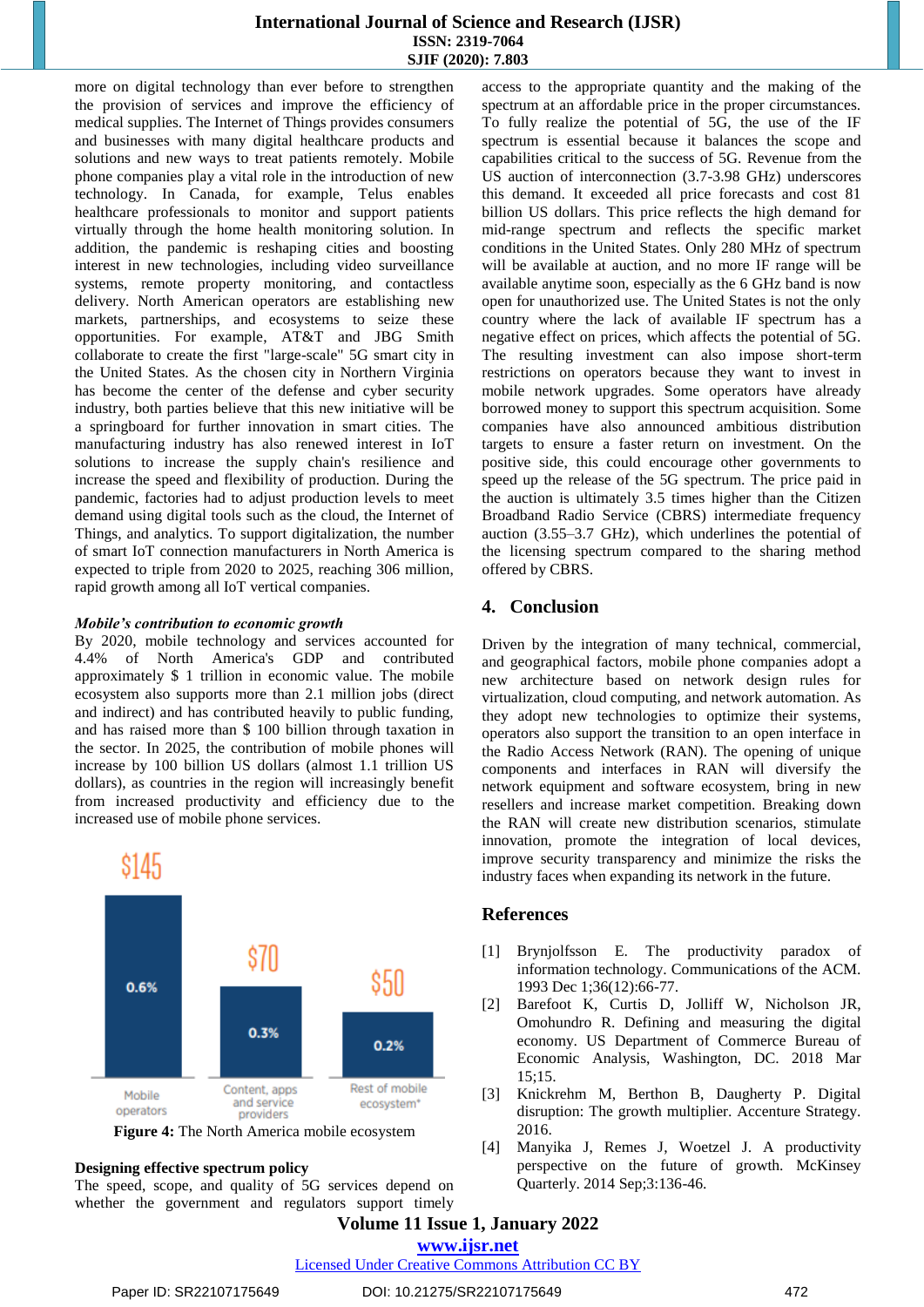## **International Journal of Science and Research (IJSR) ISSN: 2319-7064 SJIF (2020): 7.803**

more on digital technology than ever before to strengthen the provision of services and improve the efficiency of medical supplies. The Internet of Things provides consumers and businesses with many digital healthcare products and solutions and new ways to treat patients remotely. Mobile phone companies play a vital role in the introduction of new technology. In Canada, for example, Telus enables healthcare professionals to monitor and support patients virtually through the home health monitoring solution. In addition, the pandemic is reshaping cities and boosting interest in new technologies, including video surveillance systems, remote property monitoring, and contactless delivery. North American operators are establishing new markets, partnerships, and ecosystems to seize these opportunities. For example, AT&T and JBG Smith collaborate to create the first "large-scale" 5G smart city in the United States. As the chosen city in Northern Virginia has become the center of the defense and cyber security industry, both parties believe that this new initiative will be a springboard for further innovation in smart cities. The manufacturing industry has also renewed interest in IoT solutions to increase the supply chain's resilience and increase the speed and flexibility of production. During the pandemic, factories had to adjust production levels to meet demand using digital tools such as the cloud, the Internet of Things, and analytics. To support digitalization, the number of smart IoT connection manufacturers in North America is expected to triple from 2020 to 2025, reaching 306 million, rapid growth among all IoT vertical companies.

#### *Mobile's contribution to economic growth*

By 2020, mobile technology and services accounted for 4.4% of North America's GDP and contributed approximately \$ 1 trillion in economic value. The mobile ecosystem also supports more than 2.1 million jobs (direct and indirect) and has contributed heavily to public funding, and has raised more than \$ 100 billion through taxation in the sector. In 2025, the contribution of mobile phones will increase by 100 billion US dollars (almost 1.1 trillion US dollars), as countries in the region will increasingly benefit from increased productivity and efficiency due to the increased use of mobile phone services.



**Figure 4:** The North America mobile ecosystem

#### **Designing effective spectrum policy**

The speed, scope, and quality of 5G services depend on whether the government and regulators support timely access to the appropriate quantity and the making of the spectrum at an affordable price in the proper circumstances. To fully realize the potential of 5G, the use of the IF spectrum is essential because it balances the scope and capabilities critical to the success of 5G. Revenue from the US auction of interconnection (3.7-3.98 GHz) underscores this demand. It exceeded all price forecasts and cost 81 billion US dollars. This price reflects the high demand for mid-range spectrum and reflects the specific market conditions in the United States. Only 280 MHz of spectrum will be available at auction, and no more IF range will be available anytime soon, especially as the 6 GHz band is now open for unauthorized use. The United States is not the only country where the lack of available IF spectrum has a negative effect on prices, which affects the potential of 5G. The resulting investment can also impose short-term restrictions on operators because they want to invest in mobile network upgrades. Some operators have already borrowed money to support this spectrum acquisition. Some companies have also announced ambitious distribution targets to ensure a faster return on investment. On the positive side, this could encourage other governments to speed up the release of the 5G spectrum. The price paid in the auction is ultimately 3.5 times higher than the Citizen Broadband Radio Service (CBRS) intermediate frequency auction (3.55–3.7 GHz), which underlines the potential of the licensing spectrum compared to the sharing method offered by CBRS.

## **4. Conclusion**

Driven by the integration of many technical, commercial, and geographical factors, mobile phone companies adopt a new architecture based on network design rules for virtualization, cloud computing, and network automation. As they adopt new technologies to optimize their systems, operators also support the transition to an open interface in the Radio Access Network (RAN). The opening of unique components and interfaces in RAN will diversify the network equipment and software ecosystem, bring in new resellers and increase market competition. Breaking down the RAN will create new distribution scenarios, stimulate innovation, promote the integration of local devices, improve security transparency and minimize the risks the industry faces when expanding its network in the future.

#### **References**

- [1] Brynjolfsson E. The productivity paradox of information technology. Communications of the ACM. 1993 Dec 1;36(12):66-77.
- [2] Barefoot K, Curtis D, Jolliff W, Nicholson JR, Omohundro R. Defining and measuring the digital economy. US Department of Commerce Bureau of Economic Analysis, Washington, DC. 2018 Mar 15;15.
- [3] Knickrehm M, Berthon B, Daugherty P. Digital disruption: The growth multiplier. Accenture Strategy. 2016.
- [4] Manyika J, Remes J, Woetzel J. A productivity perspective on the future of growth. McKinsey Quarterly. 2014 Sep;3:136-46.

## **Volume 11 Issue 1, January 2022 www.ijsr.net**

#### Licensed Under Creative Commons Attribution CC BY